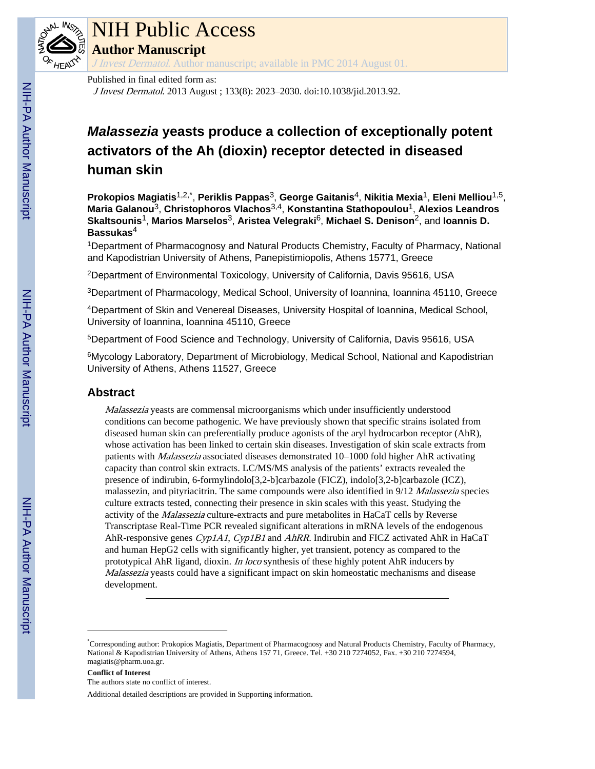

### NIH Public Access

**Author Manuscript**

J Invest Dermatol. Author manuscript; available in PMC 2014 August 01.

#### Published in final edited form as:

J Invest Dermatol. 2013 August ; 133(8): 2023–2030. doi:10.1038/jid.2013.92.

### *Malassezia* **yeasts produce a collection of exceptionally potent activators of the Ah (dioxin) receptor detected in diseased human skin**

**Prokopios Magiatis**1,2,\* , **Periklis Pappas**3, **George Gaitanis**4, **Nikitia Mexia**1, **Eleni Melliou**1,5, **Maria Galanou**3, **Christophoros Vlachos**3,4, **Konstantina Stathopoulou**1, **Alexios Leandros Skaltsounis**1, **Marios Marselos**3, **Aristea Velegraki**6, **Michael S. Denison**2, and **Ioannis D. Bassukas**<sup>4</sup>

<sup>1</sup>Department of Pharmacognosy and Natural Products Chemistry, Faculty of Pharmacy, National and Kapodistrian University of Athens, Panepistimiopolis, Athens 15771, Greece

<sup>2</sup>Department of Environmental Toxicology, University of California, Davis 95616, USA

<sup>3</sup>Department of Pharmacology, Medical School, University of Ioannina, Ioannina 45110, Greece

<sup>4</sup>Department of Skin and Venereal Diseases, University Hospital of Ioannina, Medical School, University of Ioannina, Ioannina 45110, Greece

<sup>5</sup>Department of Food Science and Technology, University of California, Davis 95616, USA

<sup>6</sup>Mycology Laboratory, Department of Microbiology, Medical School, National and Kapodistrian University of Athens, Athens 11527, Greece

#### **Abstract**

Malassezia yeasts are commensal microorganisms which under insufficiently understood conditions can become pathogenic. We have previously shown that specific strains isolated from diseased human skin can preferentially produce agonists of the aryl hydrocarbon receptor (AhR), whose activation has been linked to certain skin diseases. Investigation of skin scale extracts from patients with Malassezia associated diseases demonstrated 10–1000 fold higher AhR activating capacity than control skin extracts. LC/MS/MS analysis of the patients' extracts revealed the presence of indirubin, 6-formylindolo[3,2-b]carbazole (FICZ), indolo[3,2-b]carbazole (ICZ), malassezin, and pityriacitrin. The same compounds were also identified in 9/12 Malassezia species culture extracts tested, connecting their presence in skin scales with this yeast. Studying the activity of the Malassezia culture-extracts and pure metabolites in HaCaT cells by Reverse Transcriptase Real-Time PCR revealed significant alterations in mRNA levels of the endogenous AhR-responsive genes  $Cyp1A1$ ,  $Cyp1B1$  and AhRR. Indirubin and FICZ activated AhR in HaCaT and human HepG2 cells with significantly higher, yet transient, potency as compared to the prototypical AhR ligand, dioxin. In loco synthesis of these highly potent AhR inducers by Malassezia yeasts could have a significant impact on skin homeostatic mechanisms and disease development.

**Conflict of Interest**

Additional detailed descriptions are provided in Supporting information.

<sup>\*</sup>Corresponding author: Prokopios Magiatis, Department of Pharmacognosy and Natural Products Chemistry, Faculty of Pharmacy, National & Kapodistrian University of Athens, Athens 157 71, Greece. Tel. +30 210 7274052, Fax. +30 210 7274594, magiatis@pharm.uoa.gr.

The authors state no conflict of interest.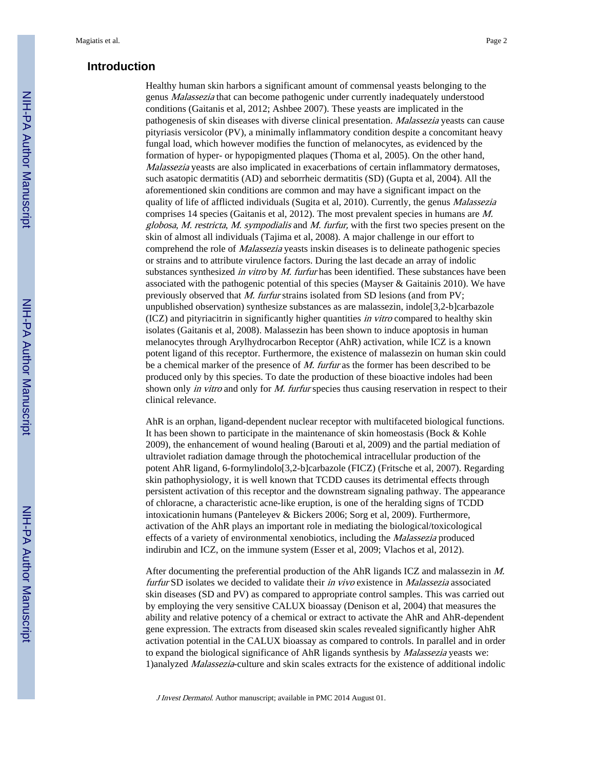#### **Introduction**

Healthy human skin harbors a significant amount of commensal yeasts belonging to the genus Malassezia that can become pathogenic under currently inadequately understood conditions (Gaitanis et al, 2012; Ashbee 2007). These yeasts are implicated in the pathogenesis of skin diseases with diverse clinical presentation. Malassezia yeasts can cause pityriasis versicolor (PV), a minimally inflammatory condition despite a concomitant heavy fungal load, which however modifies the function of melanocytes, as evidenced by the formation of hyper- or hypopigmented plaques (Thoma et al, 2005). On the other hand, Malassezia yeasts are also implicated in exacerbations of certain inflammatory dermatoses, such asatopic dermatitis (AD) and seborrheic dermatitis (SD) (Gupta et al, 2004). All the aforementioned skin conditions are common and may have a significant impact on the quality of life of afflicted individuals (Sugita et al, 2010). Currently, the genus *Malassezia* comprises 14 species (Gaitanis et al, 2012). The most prevalent species in humans are M. globosa, M. restricta, M. sympodialis and M. furfur, with the first two species present on the skin of almost all individuals (Tajima et al, 2008). A major challenge in our effort to comprehend the role of Malassezia yeasts inskin diseases is to delineate pathogenic species or strains and to attribute virulence factors. During the last decade an array of indolic substances synthesized in vitro by  $M$ . furfur has been identified. These substances have been associated with the pathogenic potential of this species (Mayser  $\&$  Gaitainis 2010). We have previously observed that M. furfur strains isolated from SD lesions (and from PV; unpublished observation) synthesize substances as are malassezin, indole[3,2-b]carbazole (ICZ) and pityriacitrin in significantly higher quantities in vitro compared to healthy skin isolates (Gaitanis et al, 2008). Malassezin has been shown to induce apoptosis in human melanocytes through Arylhydrocarbon Receptor (AhR) activation, while ICZ is a known potent ligand of this receptor. Furthermore, the existence of malassezin on human skin could be a chemical marker of the presence of M. furtur as the former has been described to be produced only by this species. To date the production of these bioactive indoles had been shown only in vitro and only for M. furfur species thus causing reservation in respect to their clinical relevance.

AhR is an orphan, ligand-dependent nuclear receptor with multifaceted biological functions. It has been shown to participate in the maintenance of skin homeostasis (Bock & Kohle 2009), the enhancement of wound healing (Barouti et al, 2009) and the partial mediation of ultraviolet radiation damage through the photochemical intracellular production of the potent AhR ligand, 6-formylindolo[3,2-b]carbazole (FICZ) (Fritsche et al, 2007). Regarding skin pathophysiology, it is well known that TCDD causes its detrimental effects through persistent activation of this receptor and the downstream signaling pathway. The appearance of chloracne, a characteristic acne-like eruption, is one of the heralding signs of TCDD intoxicationin humans (Panteleyev & Bickers 2006; Sorg et al, 2009). Furthermore, activation of the AhR plays an important role in mediating the biological/toxicological effects of a variety of environmental xenobiotics, including the Malassezia produced indirubin and ICZ, on the immune system (Esser et al, 2009; Vlachos et al, 2012).

After documenting the preferential production of the AhR ligands ICZ and malassezin in M. furfur SD isolates we decided to validate their in vivo existence in Malassezia associated skin diseases (SD and PV) as compared to appropriate control samples. This was carried out by employing the very sensitive CALUX bioassay (Denison et al, 2004) that measures the ability and relative potency of a chemical or extract to activate the AhR and AhR-dependent gene expression. The extracts from diseased skin scales revealed significantly higher AhR activation potential in the CALUX bioassay as compared to controls. In parallel and in order to expand the biological significance of AhR ligands synthesis by *Malassezia* yeasts we: 1)analyzed Malassezia-culture and skin scales extracts for the existence of additional indolic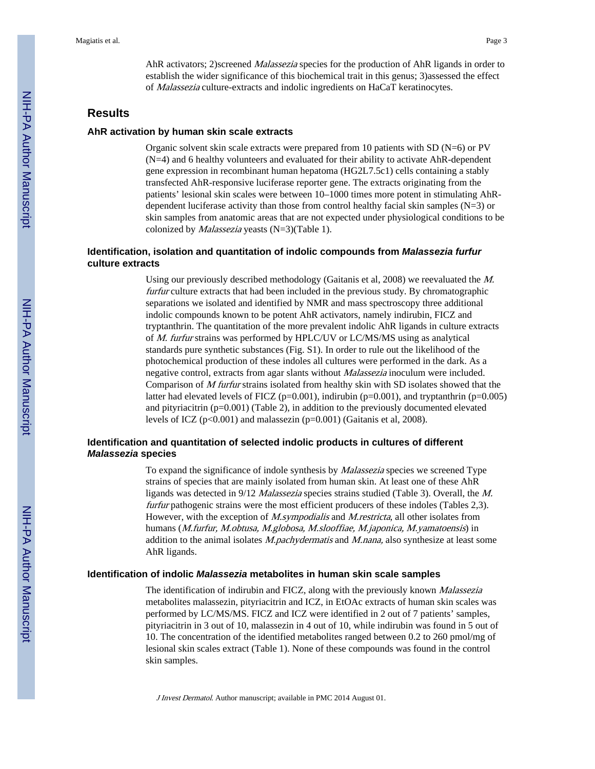AhR activators; 2)screened *Malassezia* species for the production of AhR ligands in order to establish the wider significance of this biochemical trait in this genus; 3)assessed the effect of Malassezia culture-extracts and indolic ingredients on HaCaT keratinocytes.

#### **Results**

#### **AhR activation by human skin scale extracts**

Organic solvent skin scale extracts were prepared from 10 patients with SD ( $N=6$ ) or PV (N=4) and 6 healthy volunteers and evaluated for their ability to activate AhR-dependent gene expression in recombinant human hepatoma (HG2L7.5c1) cells containing a stably transfected AhR-responsive luciferase reporter gene. The extracts originating from the patients' lesional skin scales were between 10–1000 times more potent in stimulating AhRdependent luciferase activity than those from control healthy facial skin samples (N=3) or skin samples from anatomic areas that are not expected under physiological conditions to be colonized by Malassezia yeasts (N=3)(Table 1).

#### **Identification, isolation and quantitation of indolic compounds from** *Malassezia furfur* **culture extracts**

Using our previously described methodology (Gaitanis et al, 2008) we reevaluated the M. furfur culture extracts that had been included in the previous study. By chromatographic separations we isolated and identified by NMR and mass spectroscopy three additional indolic compounds known to be potent AhR activators, namely indirubin, FICZ and tryptanthrin. The quantitation of the more prevalent indolic AhR ligands in culture extracts of M. furfur strains was performed by HPLC/UV or LC/MS/MS using as analytical standards pure synthetic substances (Fig. S1). In order to rule out the likelihood of the photochemical production of these indoles all cultures were performed in the dark. As a negative control, extracts from agar slants without Malassezia inoculum were included. Comparison of M furfur strains isolated from healthy skin with SD isolates showed that the latter had elevated levels of FICZ ( $p=0.001$ ), indirubin ( $p=0.001$ ), and tryptanthrin ( $p=0.005$ ) and pityriacitrin ( $p=0.001$ ) (Table 2), in addition to the previously documented elevated levels of ICZ ( $p<0.001$ ) and malassezin ( $p=0.001$ ) (Gaitanis et al, 2008).

#### **Identification and quantitation of selected indolic products in cultures of different** *Malassezia* **species**

To expand the significance of indole synthesis by Malassezia species we screened Type strains of species that are mainly isolated from human skin. At least one of these AhR ligands was detected in 9/12 Malassezia species strains studied (Table 3). Overall, the M. furtur pathogenic strains were the most efficient producers of these indoles (Tables 2,3). However, with the exception of *M.sympodialis* and *M.restricta*, all other isolates from humans (M.furfur, M.obtusa, M.globosa, M.slooffiae, M.japonica, M.yamatoensis) in addition to the animal isolates *M.pachydermatis* and *M.nana*, also synthesize at least some AhR ligands.

#### **Identification of indolic** *Malassezia* **metabolites in human skin scale samples**

The identification of indirubin and FICZ, along with the previously known *Malassezia* metabolites malassezin, pityriacitrin and ICZ, in EtOAc extracts of human skin scales was performed by LC/MS/MS. FICZ and ICZ were identified in 2 out of 7 patients' samples, pityriacitrin in 3 out of 10, malassezin in 4 out of 10, while indirubin was found in 5 out of 10. The concentration of the identified metabolites ranged between 0.2 to 260 pmol/mg of lesional skin scales extract (Table 1). None of these compounds was found in the control skin samples.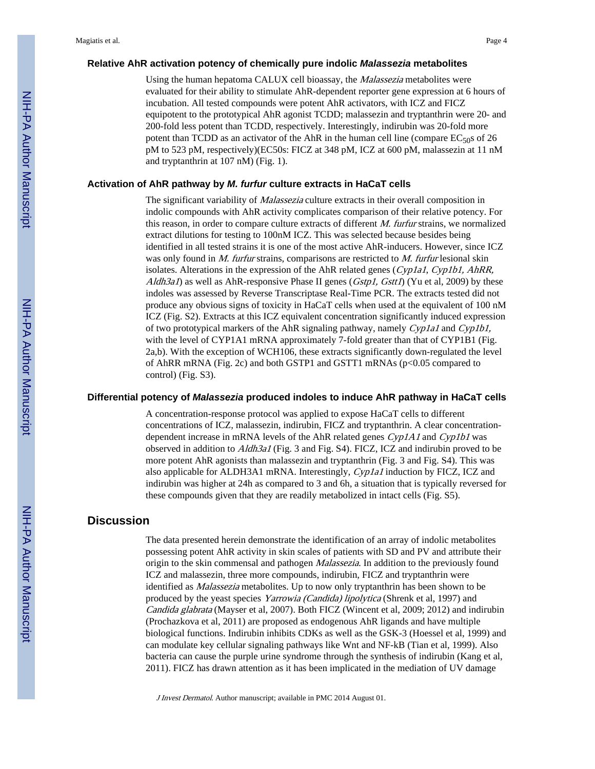#### **Relative AhR activation potency of chemically pure indolic** *Malassezia* **metabolites**

Using the human hepatoma CALUX cell bioassay, the Malassezia metabolites were evaluated for their ability to stimulate AhR-dependent reporter gene expression at 6 hours of incubation. All tested compounds were potent AhR activators, with ICZ and FICZ equipotent to the prototypical AhR agonist TCDD; malassezin and tryptanthrin were 20- and 200-fold less potent than TCDD, respectively. Interestingly, indirubin was 20-fold more potent than TCDD as an activator of the AhR in the human cell line (compare  $EC_{50}$ s of 26 pM to 523 pM, respectively)(EC50s: FICZ at 348 pM, ICZ at 600 pM, malassezin at 11 nM and tryptanthrin at 107 nM) (Fig. 1).

#### **Activation of AhR pathway by** *M. furfur* **culture extracts in HaCaT cells**

The significant variability of *Malassezia* culture extracts in their overall composition in indolic compounds with AhR activity complicates comparison of their relative potency. For this reason, in order to compare culture extracts of different  $M$ . furfur strains, we normalized extract dilutions for testing to 100nM ICZ. This was selected because besides being identified in all tested strains it is one of the most active AhR-inducers. However, since ICZ was only found in *M. furfur* strains, comparisons are restricted to *M. furfur* lesional skin isolates. Alterations in the expression of the AhR related genes (Cyp1a1, Cyp1b1, AhRR,  $A/dh3aI$ ) as well as AhR-responsive Phase II genes (*Gstp1, Gstt1*) (Yu et al, 2009) by these indoles was assessed by Reverse Transcriptase Real-Time PCR. The extracts tested did not produce any obvious signs of toxicity in HaCaT cells when used at the equivalent of 100 nM ICZ (Fig. S2). Extracts at this ICZ equivalent concentration significantly induced expression of two prototypical markers of the AhR signaling pathway, namely Cyp1a1 and Cyp1b1, with the level of CYP1A1 mRNA approximately 7-fold greater than that of CYP1B1 (Fig. 2a,b). With the exception of WCH106, these extracts significantly down-regulated the level of AhRR mRNA (Fig. 2c) and both GSTP1 and GSTT1 mRNAs (p<0.05 compared to control) (Fig. S3).

#### **Differential potency of** *Malassezia* **produced indoles to induce AhR pathway in HaCaT cells**

A concentration-response protocol was applied to expose HaCaT cells to different concentrations of ICZ, malassezin, indirubin, FICZ and tryptanthrin. A clear concentrationdependent increase in mRNA levels of the AhR related genes Cyp1A1 and Cyp1b1 was observed in addition to Aldh3a1 (Fig. 3 and Fig. S4). FICZ, ICZ and indirubin proved to be more potent AhR agonists than malassezin and tryptanthrin (Fig. 3 and Fig. S4). This was also applicable for ALDH3A1 mRNA. Interestingly, Cyp1a1 induction by FICZ, ICZ and indirubin was higher at 24h as compared to 3 and 6h, a situation that is typically reversed for these compounds given that they are readily metabolized in intact cells (Fig. S5).

#### **Discussion**

The data presented herein demonstrate the identification of an array of indolic metabolites possessing potent AhR activity in skin scales of patients with SD and PV and attribute their origin to the skin commensal and pathogen Malassezia. In addition to the previously found ICZ and malassezin, three more compounds, indirubin, FICZ and tryptanthrin were identified as Malassezia metabolites. Up to now only tryptanthrin has been shown to be produced by the yeast species Yarrowia (Candida) lipolytica (Shrenk et al, 1997) and Candida glabrata (Mayser et al, 2007). Both FICZ (Wincent et al, 2009; 2012) and indirubin (Prochazkova et al, 2011) are proposed as endogenous AhR ligands and have multiple biological functions. Indirubin inhibits CDKs as well as the GSK-3 (Hoessel et al, 1999) and can modulate key cellular signaling pathways like Wnt and NF-kB (Tian et al, 1999). Also bacteria can cause the purple urine syndrome through the synthesis of indirubin (Kang et al, 2011). FICZ has drawn attention as it has been implicated in the mediation of UV damage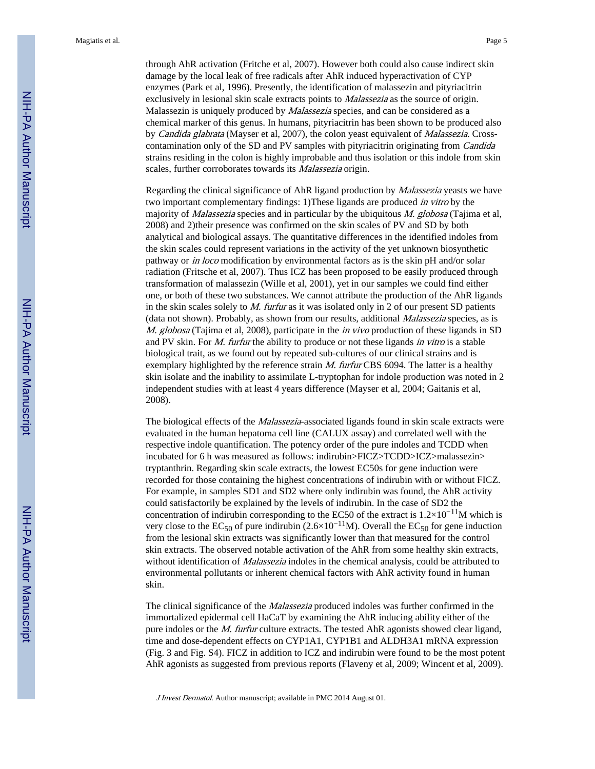Magiatis et al. Page 5

through AhR activation (Fritche et al, 2007). However both could also cause indirect skin damage by the local leak of free radicals after AhR induced hyperactivation of CYP enzymes (Park et al, 1996). Presently, the identification of malassezin and pityriacitrin exclusively in lesional skin scale extracts points to *Malassezia* as the source of origin. Malassezin is uniquely produced by *Malassezia* species, and can be considered as a chemical marker of this genus. In humans, pityriacitrin has been shown to be produced also by Candida glabrata (Mayser et al, 2007), the colon yeast equivalent of Malassezia. Crosscontamination only of the SD and PV samples with pityriacitrin originating from *Candida* strains residing in the colon is highly improbable and thus isolation or this indole from skin scales, further corroborates towards its *Malassezia* origin.

Regarding the clinical significance of AhR ligand production by *Malassezia* yeasts we have two important complementary findings: 1)These ligands are produced in vitro by the majority of *Malassezia* species and in particular by the ubiquitous  $M$ . globosa (Tajima et al, 2008) and 2)their presence was confirmed on the skin scales of PV and SD by both analytical and biological assays. The quantitative differences in the identified indoles from the skin scales could represent variations in the activity of the yet unknown biosynthetic pathway or in loco modification by environmental factors as is the skin pH and/or solar radiation (Fritsche et al, 2007). Thus ICZ has been proposed to be easily produced through transformation of malassezin (Wille et al, 2001), yet in our samples we could find either one, or both of these two substances. We cannot attribute the production of the AhR ligands in the skin scales solely to  $M$ . furtur as it was isolated only in 2 of our present SD patients (data not shown). Probably, as shown from our results, additional Malassezia species, as is M. globosa (Tajima et al, 2008), participate in the *in vivo* production of these ligands in SD and PV skin. For *M. furfur* the ability to produce or not these ligands in vitro is a stable biological trait, as we found out by repeated sub-cultures of our clinical strains and is exemplary highlighted by the reference strain M. furtur CBS 6094. The latter is a healthy skin isolate and the inability to assimilate L-tryptophan for indole production was noted in 2 independent studies with at least 4 years difference (Mayser et al, 2004; Gaitanis et al, 2008).

The biological effects of the *Malassezia*-associated ligands found in skin scale extracts were evaluated in the human hepatoma cell line (CALUX assay) and correlated well with the respective indole quantification. The potency order of the pure indoles and TCDD when incubated for 6 h was measured as follows: indirubin>FICZ>TCDD>ICZ>malassezin> tryptanthrin. Regarding skin scale extracts, the lowest EC50s for gene induction were recorded for those containing the highest concentrations of indirubin with or without FICZ. For example, in samples SD1 and SD2 where only indirubin was found, the AhR activity could satisfactorily be explained by the levels of indirubin. In the case of SD2 the concentration of indirubin corresponding to the EC50 of the extract is  $1.2 \times 10^{-11}$ M which is very close to the EC<sub>50</sub> of pure indirubin (2.6×10<sup>-11</sup>M). Overall the EC<sub>50</sub> for gene induction from the lesional skin extracts was significantly lower than that measured for the control skin extracts. The observed notable activation of the AhR from some healthy skin extracts, without identification of *Malassezia* indoles in the chemical analysis, could be attributed to environmental pollutants or inherent chemical factors with AhR activity found in human skin.

The clinical significance of the *Malassezia* produced indoles was further confirmed in the immortalized epidermal cell HaCaT by examining the AhR inducing ability either of the pure indoles or the *M. furfur* culture extracts. The tested AhR agonists showed clear ligand, time and dose-dependent effects on CYP1A1, CYP1B1 and ALDH3A1 mRNA expression (Fig. 3 and Fig. S4). FICZ in addition to ICZ and indirubin were found to be the most potent AhR agonists as suggested from previous reports (Flaveny et al, 2009; Wincent et al, 2009).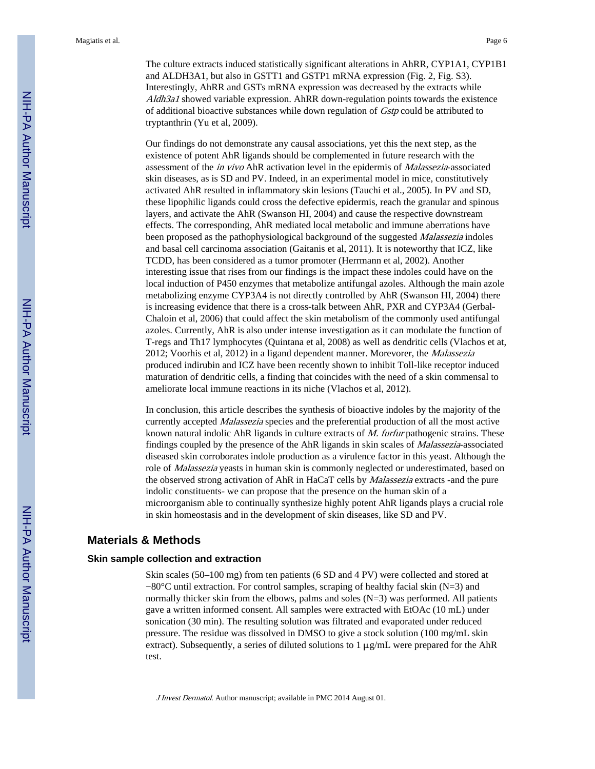The culture extracts induced statistically significant alterations in AhRR, CYP1A1, CYP1B1 and ALDH3A1, but also in GSTT1 and GSTP1 mRNA expression (Fig. 2, Fig. S3). Interestingly, AhRR and GSTs mRNA expression was decreased by the extracts while Aldh3a1 showed variable expression. AhRR down-regulation points towards the existence of additional bioactive substances while down regulation of Gstp could be attributed to tryptanthrin (Yu et al, 2009).

Our findings do not demonstrate any causal associations, yet this the next step, as the existence of potent AhR ligands should be complemented in future research with the assessment of the in vivo AhR activation level in the epidermis of Malassezia-associated skin diseases, as is SD and PV. Indeed, in an experimental model in mice, constitutively activated AhR resulted in inflammatory skin lesions (Tauchi et al., 2005). In PV and SD, these lipophilic ligands could cross the defective epidermis, reach the granular and spinous layers, and activate the AhR (Swanson HI, 2004) and cause the respective downstream effects. The corresponding, AhR mediated local metabolic and immune aberrations have been proposed as the pathophysiological background of the suggested *Malassezia* indoles and basal cell carcinoma association (Gaitanis et al, 2011). It is noteworthy that ICZ, like TCDD, has been considered as a tumor promoter (Herrmann et al, 2002). Another interesting issue that rises from our findings is the impact these indoles could have on the local induction of P450 enzymes that metabolize antifungal azoles. Although the main azole metabolizing enzyme CYP3A4 is not directly controlled by AhR (Swanson HI, 2004) there is increasing evidence that there is a cross-talk between AhR, PXR and CYP3A4 (Gerbal-Chaloin et al, 2006) that could affect the skin metabolism of the commonly used antifungal azoles. Currently, AhR is also under intense investigation as it can modulate the function of T-regs and Th17 lymphocytes (Quintana et al, 2008) as well as dendritic cells (Vlachos et at, 2012; Voorhis et al, 2012) in a ligand dependent manner. Morevorer, the Malassezia produced indirubin and ICZ have been recently shown to inhibit Toll-like receptor induced maturation of dendritic cells, a finding that coincides with the need of a skin commensal to ameliorate local immune reactions in its niche (Vlachos et al, 2012).

In conclusion, this article describes the synthesis of bioactive indoles by the majority of the currently accepted Malassezia species and the preferential production of all the most active known natural indolic AhR ligands in culture extracts of *M. furfur* pathogenic strains. These findings coupled by the presence of the AhR ligands in skin scales of Malassezia-associated diseased skin corroborates indole production as a virulence factor in this yeast. Although the role of *Malassezia* yeasts in human skin is commonly neglected or underestimated, based on the observed strong activation of AhR in HaCaT cells by Malassezia extracts -and the pure indolic constituents- we can propose that the presence on the human skin of a microorganism able to continually synthesize highly potent AhR ligands plays a crucial role in skin homeostasis and in the development of skin diseases, like SD and PV.

#### **Materials & Methods**

#### **Skin sample collection and extraction**

Skin scales (50–100 mg) from ten patients (6 SD and 4 PV) were collected and stored at −80°C until extraction. For control samples, scraping of healthy facial skin (N=3) and normally thicker skin from the elbows, palms and soles (N=3) was performed. All patients gave a written informed consent. All samples were extracted with EtOAc (10 mL) under sonication (30 min). The resulting solution was filtrated and evaporated under reduced pressure. The residue was dissolved in DMSO to give a stock solution (100 mg/mL skin extract). Subsequently, a series of diluted solutions to  $1 \mu g/mL$  were prepared for the AhR test.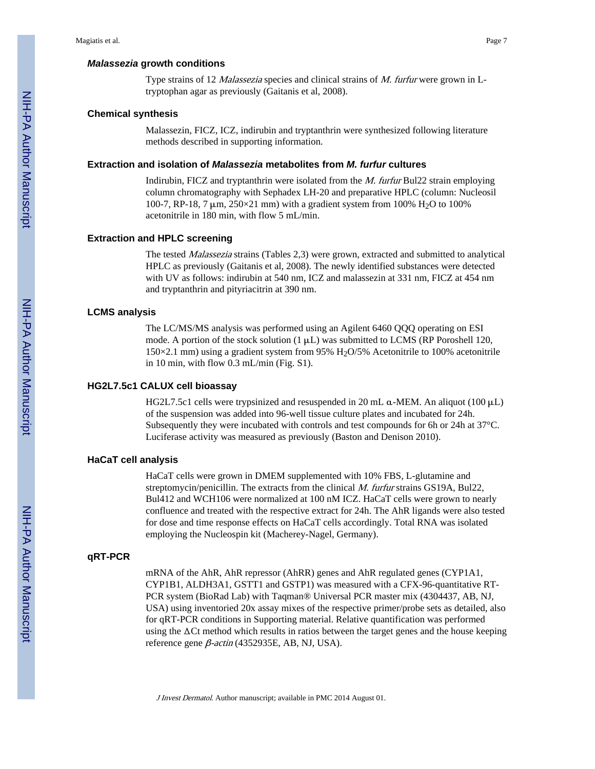#### *Malassezia* **growth conditions**

Type strains of 12 Malassezia species and clinical strains of M. furfur were grown in Ltryptophan agar as previously (Gaitanis et al, 2008).

#### **Chemical synthesis**

Malassezin, FICZ, ICZ, indirubin and tryptanthrin were synthesized following literature methods described in supporting information.

#### **Extraction and isolation of** *Malassezia* **metabolites from** *M. furfur* **cultures**

Indirubin, FICZ and tryptanthrin were isolated from the M. furfur Bul22 strain employing column chromatography with Sephadex LH-20 and preparative HPLC (column: Nucleosil 100-7, RP-18, 7 μm,  $250 \times 21$  mm) with a gradient system from 100% H<sub>2</sub>O to 100% acetonitrile in 180 min, with flow 5 mL/min.

#### **Extraction and HPLC screening**

The tested Malassezia strains (Tables 2,3) were grown, extracted and submitted to analytical HPLC as previously (Gaitanis et al, 2008). The newly identified substances were detected with UV as follows: indirubin at 540 nm, ICZ and malassezin at 331 nm, FICZ at 454 nm and tryptanthrin and pityriacitrin at 390 nm.

#### **LCMS analysis**

The LC/MS/MS analysis was performed using an Agilent 6460 QQQ operating on ESI mode. A portion of the stock solution  $(1 \mu L)$  was submitted to LCMS (RP Poroshell 120, 150×2.1 mm) using a gradient system from 95% H<sub>2</sub>O/5% Acetonitrile to 100% acetonitrile in 10 min, with flow 0.3 mL/min (Fig. S1).

#### **HG2L7.5c1 CALUX cell bioassay**

HG2L7.5c1 cells were trypsinized and resuspended in 20 mL  $\alpha$ -MEM. An aliquot (100  $\mu$ L) of the suspension was added into 96-well tissue culture plates and incubated for 24h. Subsequently they were incubated with controls and test compounds for 6h or 24h at 37°C. Luciferase activity was measured as previously (Baston and Denison 2010).

#### **HaCaT cell analysis**

HaCaT cells were grown in DMEM supplemented with 10% FBS, L-glutamine and streptomycin/penicillin. The extracts from the clinical *M. furfur* strains GS19A, Bul22, Bul412 and WCH106 were normalized at 100 nM ICZ. HaCaT cells were grown to nearly confluence and treated with the respective extract for 24h. The AhR ligands were also tested for dose and time response effects on HaCaT cells accordingly. Total RNA was isolated employing the Nucleospin kit (Macherey-Nagel, Germany).

#### **qRT-PCR**

mRNA of the AhR, AhR repressor (AhRR) genes and AhR regulated genes (CYP1A1, CYP1B1, ALDH3A1, GSTT1 and GSTP1) was measured with a CFX-96-quantitative RT-PCR system (BioRad Lab) with Taqman® Universal PCR master mix (4304437, AB, NJ, USA) using inventoried 20x assay mixes of the respective primer/probe sets as detailed, also for qRT-PCR conditions in Supporting material. Relative quantification was performed using the  $\Delta$ Ct method which results in ratios between the target genes and the house keeping reference gene  $β$ -actin (4352935E, AB, NJ, USA).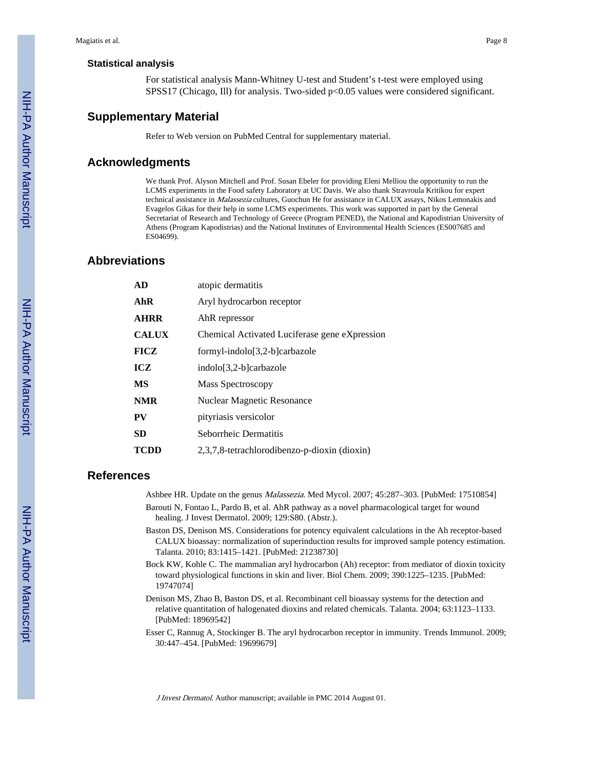#### **Statistical analysis**

For statistical analysis Mann-Whitney U-test and Student's t-test were employed using SPSS17 (Chicago, Ill) for analysis. Two-sided p<0.05 values were considered significant.

#### **Supplementary Material**

Refer to Web version on PubMed Central for supplementary material.

#### **Acknowledgments**

We thank Prof. Alyson Mitchell and Prof. Susan Ebeler for providing Eleni Melliou the opportunity to run the LCMS experiments in the Food safety Laboratory at UC Davis. We also thank Stravroula Kritikou for expert technical assistance in *Malassezia* cultures, Guochun He for assistance in CALUX assays, Nikos Lemonakis and Evagelos Gikas for their help in some LCMS experiments. This work was supported in part by the General Secretariat of Research and Technology of Greece (Program PENED), the National and Kapodistrian University of Athens (Program Kapodistrias) and the National Institutes of Environmental Health Sciences (ES007685 and ES04699).

#### **Abbreviations**

| AD           | atopic dermatitis                             |
|--------------|-----------------------------------------------|
| AhR          | Aryl hydrocarbon receptor                     |
| <b>AHRR</b>  | AhR repressor                                 |
| <b>CALUX</b> | Chemical Activated Luciferase gene eXpression |
| <b>FICZ</b>  | $formyl-indolo[3,2-b]carbazole$               |
| ICZ          | $indolo[3,2-b]carbazole$                      |
| <b>MS</b>    | Mass Spectroscopy                             |
| <b>NMR</b>   | Nuclear Magnetic Resonance                    |
| <b>PV</b>    | pityriasis versicolor                         |
| <b>SD</b>    | Seborrheic Dermatitis                         |
| <b>TCDD</b>  | 2,3,7,8-tetrachlorodibenzo-p-dioxin (dioxin)  |

#### **References**

Ashbee HR. Update on the genus Malassezia. Med Mycol. 2007; 45:287–303. [PubMed: 17510854]

Barouti N, Fontao L, Pardo B, et al. AhR pathway as a novel pharmacological target for wound healing. J Invest Dermatol. 2009; 129:S80. (Abstr.).

- Baston DS, Denison MS. Considerations for potency equivalent calculations in the Ah receptor-based CALUX bioassay: normalization of superinduction results for improved sample potency estimation. Talanta. 2010; 83:1415–1421. [PubMed: 21238730]
- Bock KW, Kohle C. The mammalian aryl hydrocarbon (Ah) receptor: from mediator of dioxin toxicity toward physiological functions in skin and liver. Biol Chem. 2009; 390:1225–1235. [PubMed: 19747074]
- Denison MS, Zhao B, Baston DS, et al. Recombinant cell bioassay systems for the detection and relative quantitation of halogenated dioxins and related chemicals. Talanta. 2004; 63:1123–1133. [PubMed: 18969542]
- Esser C, Rannug A, Stockinger B. The aryl hydrocarbon receptor in immunity. Trends Immunol. 2009; 30:447–454. [PubMed: 19699679]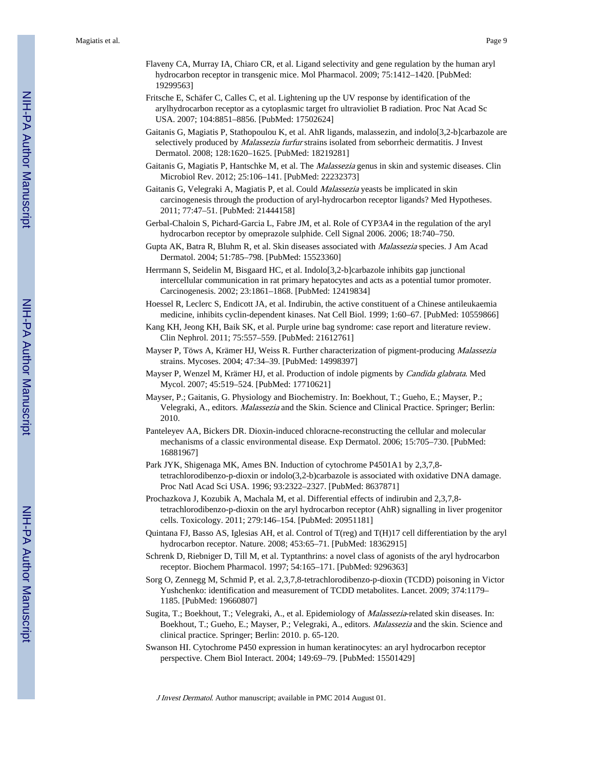- Flaveny CA, Murray IA, Chiaro CR, et al. Ligand selectivity and gene regulation by the human aryl hydrocarbon receptor in transgenic mice. Mol Pharmacol. 2009; 75:1412–1420. [PubMed: 19299563]
- Fritsche E, Schäfer C, Calles C, et al. Lightening up the UV response by identification of the arylhydrocarbon receptor as a cytoplasmic target fro ultravioliet B radiation. Proc Nat Acad Sc USA. 2007; 104:8851–8856. [PubMed: 17502624]
- Gaitanis G, Magiatis P, Stathopoulou K, et al. AhR ligands, malassezin, and indolo[3,2-b]carbazole are selectively produced by *Malassezia furfur* strains isolated from seborrheic dermatitis. J Invest Dermatol. 2008; 128:1620–1625. [PubMed: 18219281]
- Gaitanis G, Magiatis P, Hantschke M, et al. The *Malassezia* genus in skin and systemic diseases. Clin Microbiol Rev. 2012; 25:106–141. [PubMed: 22232373]
- Gaitanis G, Velegraki A, Magiatis P, et al. Could *Malassezia* yeasts be implicated in skin carcinogenesis through the production of aryl-hydrocarbon receptor ligands? Med Hypotheses. 2011; 77:47–51. [PubMed: 21444158]
- Gerbal-Chaloin S, Pichard-Garcia L, Fabre JM, et al. Role of CYP3A4 in the regulation of the aryl hydrocarbon receptor by omeprazole sulphide. Cell Signal 2006. 2006; 18:740–750.
- Gupta AK, Batra R, Bluhm R, et al. Skin diseases associated with Malassezia species. J Am Acad Dermatol. 2004; 51:785–798. [PubMed: 15523360]
- Herrmann S, Seidelin M, Bisgaard HC, et al. Indolo[3,2-b]carbazole inhibits gap junctional intercellular communication in rat primary hepatocytes and acts as a potential tumor promoter. Carcinogenesis. 2002; 23:1861–1868. [PubMed: 12419834]
- Hoessel R, Leclerc S, Endicott JA, et al. Indirubin, the active constituent of a Chinese antileukaemia medicine, inhibits cyclin-dependent kinases. Nat Cell Biol. 1999; 1:60–67. [PubMed: 10559866]
- Kang KH, Jeong KH, Baik SK, et al. Purple urine bag syndrome: case report and literature review. Clin Nephrol. 2011; 75:557–559. [PubMed: 21612761]
- Mayser P, Töws A, Krämer HJ, Weiss R. Further characterization of pigment-producing Malassezia strains. Mycoses. 2004; 47:34–39. [PubMed: 14998397]
- Mayser P, Wenzel M, Krämer HJ, et al. Production of indole pigments by Candida glabrata. Med Mycol. 2007; 45:519–524. [PubMed: 17710621]
- Mayser, P.; Gaitanis, G. Physiology and Biochemistry. In: Boekhout, T.; Gueho, E.; Mayser, P.; Velegraki, A., editors. Malassezia and the Skin. Science and Clinical Practice. Springer; Berlin: 2010.
- Panteleyev AA, Bickers DR. Dioxin-induced chloracne-reconstructing the cellular and molecular mechanisms of a classic environmental disease. Exp Dermatol. 2006; 15:705–730. [PubMed: 16881967]
- Park JYK, Shigenaga MK, Ames BN. Induction of cytochrome P4501A1 by 2,3,7,8 tetrachlorodibenzo-p-dioxin or indolo(3,2-b)carbazole is associated with oxidative DNA damage. Proc Natl Acad Sci USA. 1996; 93:2322–2327. [PubMed: 8637871]
- Prochazkova J, Kozubik A, Machala M, et al. Differential effects of indirubin and 2,3,7,8 tetrachlorodibenzo-p-dioxin on the aryl hydrocarbon receptor (AhR) signalling in liver progenitor cells. Toxicology. 2011; 279:146–154. [PubMed: 20951181]
- Quintana FJ, Basso AS, Iglesias AH, et al. Control of T(reg) and T(H)17 cell differentiation by the aryl hydrocarbon receptor. Nature. 2008; 453:65–71. [PubMed: 18362915]
- Schrenk D, Riebniger D, Till M, et al. Typtanthrins: a novel class of agonists of the aryl hydrocarbon receptor. Biochem Pharmacol. 1997; 54:165–171. [PubMed: 9296363]
- Sorg O, Zennegg M, Schmid P, et al. 2,3,7,8-tetrachlorodibenzo-p-dioxin (TCDD) poisoning in Victor Yushchenko: identification and measurement of TCDD metabolites. Lancet. 2009; 374:1179– 1185. [PubMed: 19660807]
- Sugita, T.; Boekhout, T.; Velegraki, A., et al. Epidemiology of *Malassezia*-related skin diseases. In: Boekhout, T.; Gueho, E.; Mayser, P.; Velegraki, A., editors. Malassezia and the skin. Science and clinical practice. Springer; Berlin: 2010. p. 65-120.
- Swanson HI. Cytochrome P450 expression in human keratinocytes: an aryl hydrocarbon receptor perspective. Chem Biol Interact. 2004; 149:69–79. [PubMed: 15501429]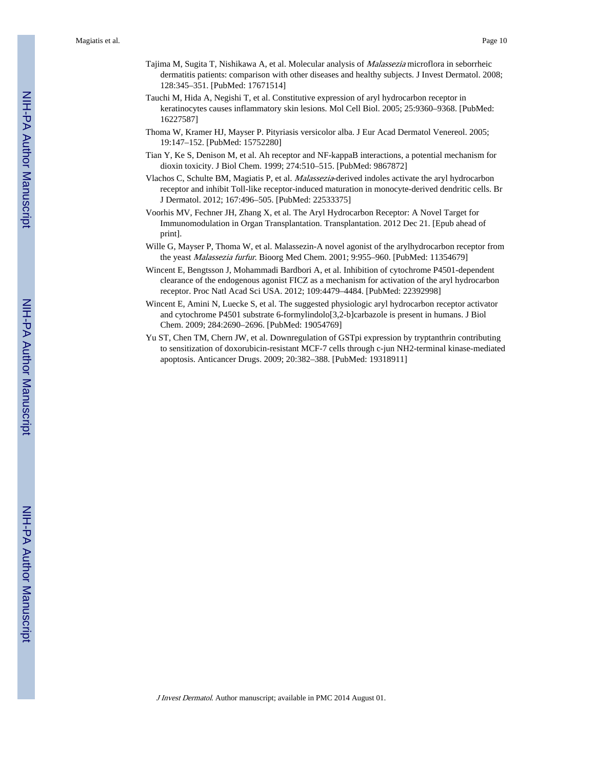- Tajima M, Sugita T, Nishikawa A, et al. Molecular analysis of Malassezia microflora in seborrheic dermatitis patients: comparison with other diseases and healthy subjects. J Invest Dermatol. 2008; 128:345–351. [PubMed: 17671514]
- Tauchi M, Hida A, Negishi T, et al. Constitutive expression of aryl hydrocarbon receptor in keratinocytes causes inflammatory skin lesions. Mol Cell Biol. 2005; 25:9360–9368. [PubMed: 16227587]
- Thoma W, Kramer HJ, Mayser P. Pityriasis versicolor alba. J Eur Acad Dermatol Venereol. 2005; 19:147–152. [PubMed: 15752280]
- Tian Y, Ke S, Denison M, et al. Ah receptor and NF-kappaB interactions, a potential mechanism for dioxin toxicity. J Biol Chem. 1999; 274:510–515. [PubMed: 9867872]
- Vlachos C, Schulte BM, Magiatis P, et al. Malassezia-derived indoles activate the aryl hydrocarbon receptor and inhibit Toll-like receptor-induced maturation in monocyte-derived dendritic cells. Br J Dermatol. 2012; 167:496–505. [PubMed: 22533375]
- Voorhis MV, Fechner JH, Zhang X, et al. The Aryl Hydrocarbon Receptor: A Novel Target for Immunomodulation in Organ Transplantation. Transplantation. 2012 Dec 21. [Epub ahead of print].
- Wille G, Mayser P, Thoma W, et al. Malassezin-A novel agonist of the arylhydrocarbon receptor from the yeast Malassezia furfur. Bioorg Med Chem. 2001; 9:955–960. [PubMed: 11354679]
- Wincent E, Bengtsson J, Mohammadi Bardbori A, et al. Inhibition of cytochrome P4501-dependent clearance of the endogenous agonist FICZ as a mechanism for activation of the aryl hydrocarbon receptor. Proc Natl Acad Sci USA. 2012; 109:4479–4484. [PubMed: 22392998]
- Wincent E, Amini N, Luecke S, et al. The suggested physiologic aryl hydrocarbon receptor activator and cytochrome P4501 substrate 6-formylindolo[3,2-b]carbazole is present in humans. J Biol Chem. 2009; 284:2690–2696. [PubMed: 19054769]
- Yu ST, Chen TM, Chern JW, et al. Downregulation of GSTpi expression by tryptanthrin contributing to sensitization of doxorubicin-resistant MCF-7 cells through c-jun NH2-terminal kinase-mediated apoptosis. Anticancer Drugs. 2009; 20:382–388. [PubMed: 19318911]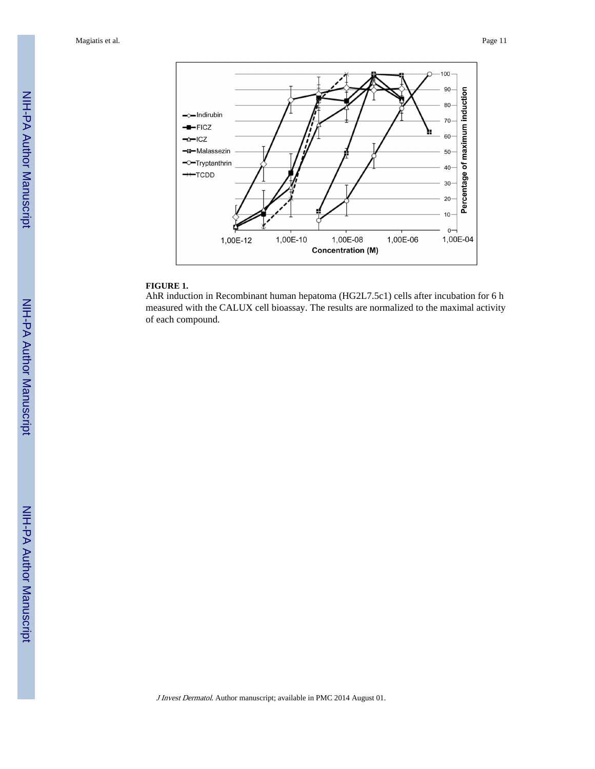Magiatis et al. Page 11



#### **FIGURE 1.**

AhR induction in Recombinant human hepatoma (HG2L7.5c1) cells after incubation for 6 h measured with the CALUX cell bioassay. The results are normalized to the maximal activity of each compound.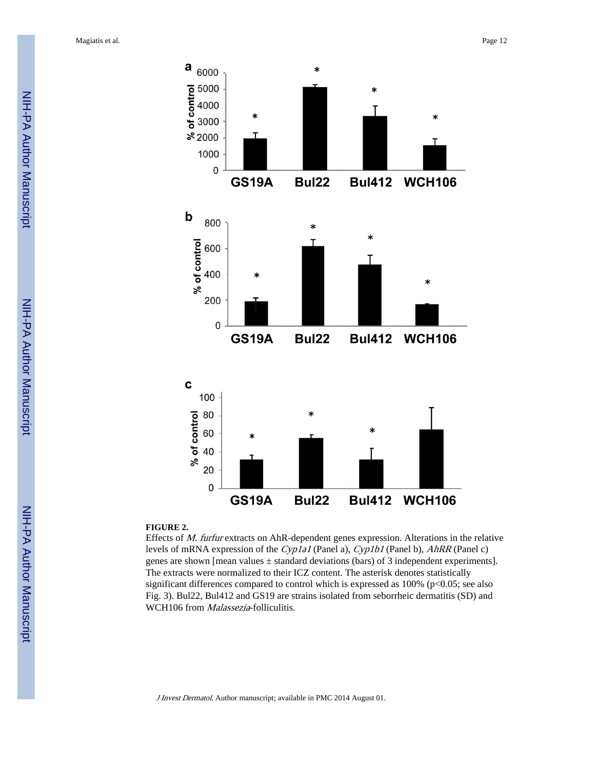

#### **FIGURE 2.**

Effects of M. furfur extracts on AhR-dependent genes expression. Alterations in the relative levels of mRNA expression of the Cyp1a1 (Panel a), Cyp1b1 (Panel b), AhRR (Panel c) genes are shown [mean values  $\pm$  standard deviations (bars) of 3 independent experiments]. The extracts were normalized to their ICZ content. The asterisk denotes statistically significant differences compared to control which is expressed as  $100\%$  (p<0.05; see also Fig. 3). Bul22, Bul412 and GS19 are strains isolated from seborrheic dermatitis (SD) and WCH106 from *Malassezia*-folliculitis.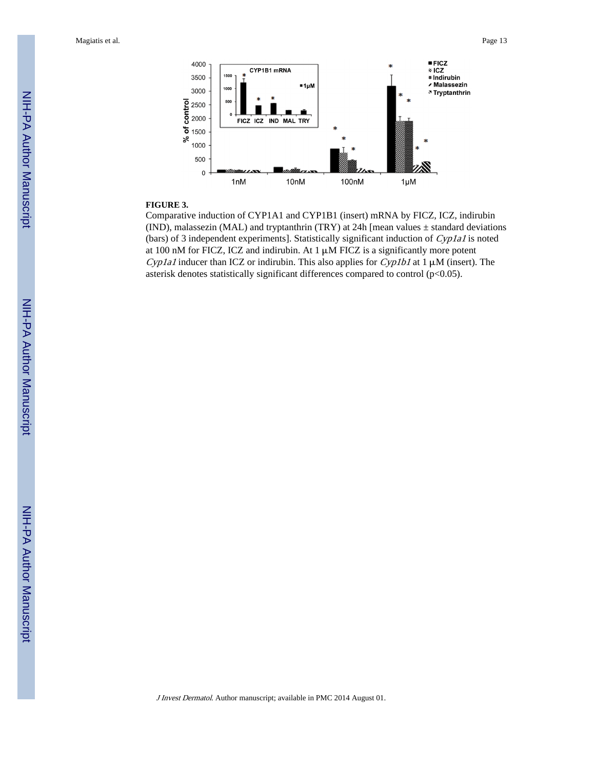Magiatis et al. Page 13



#### **FIGURE 3.**

Comparative induction of CYP1A1 and CYP1B1 (insert) mRNA by FICZ, ICZ, indirubin (IND), malassezin (MAL) and tryptanthrin (TRY) at 24h [mean values  $\pm$  standard deviations (bars) of 3 independent experiments]. Statistically significant induction of  $Cyp1a1$  is noted at 100 nM for FICZ, ICZ and indirubin. At  $1 \mu$ M FICZ is a significantly more potent Cyp1a1 inducer than ICZ or indirubin. This also applies for Cyp1b1 at 1  $\mu$ M (insert). The asterisk denotes statistically significant differences compared to control  $(p<0.05)$ .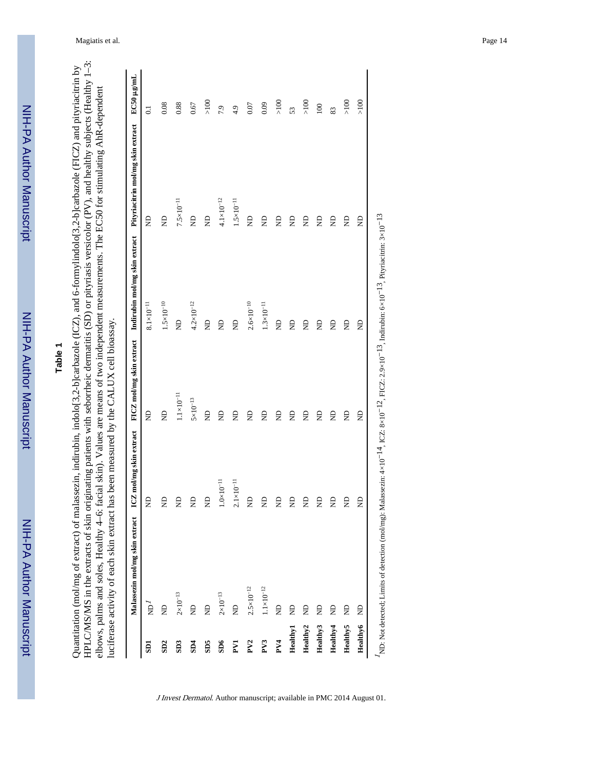## **Table 1**

HPLC/MS/MS in the extracts of skin originating patients with seborrheic dermatitis (SD) or pityriasis versicolor (PV), and healthy subjects (Healthy 1-3: HPLC/MS/MS in the extracts of skin originating patients with seborrheic dermatitis (SD) or pityriasis versicolor (PV), and healthy subjects (Healthy 1–3: Quantitation (mol/mg of extract) of malassezin, indirubin, indolo[3,2-b]carbazole (ICZ), and 6-formylindolo[3,2-b]carbazole (FICZ) and pityriacitrin by Quantitation (mol/mg of extract) of malassezin, indirubin, indolo[3,2-b]carbazole (ICZ), and 6-formylindolo[3,2-b]carbazole (FICZ) and pityriacitrin by elbows, palms and soles, Healthy 4-6: facial skin). Values are means of two independent measurements. The EC50 for stimulating AhR-dependent elbows, palms and soles, Healthy 4–6: facial skin). Values are means of two independent measurements. The EC50 for stimulating AhR-dependent luciferase activity of each skin extract has been measured by the CALUX cell bioassay. luciferase activity of each skin extract has been measured by the CALUX cell bioassay.

|                         | Malassezin mol/mg skin extract | ICZ mol/mg skin extract |                     | FICZ mol/mg skin extract Indirubin mol/mg skin extract | Pityriacitrin mol/mg skin extract | EC50 µg/mL      |
|-------------------------|--------------------------------|-------------------------|---------------------|--------------------------------------------------------|-----------------------------------|-----------------|
| $\overline{\text{SD}}$  | $\vec{E}$                      | g                       | $\Xi$               | $8.1{\times}10^{-11}$                                  | £                                 | $\overline{0}$  |
| SD2                     | £                              | g                       | $\Xi$               | $1.5\times10^{-10}$                                    | $\infty$                          | 0.08            |
| SD <sub>3</sub>         | $2\times10^{-13}$              | g                       | $1.1\times10^{-11}$ | $\Xi$                                                  | $7.5\times10^{-11}$               | 0.88            |
| SD4                     | g                              | g                       | $5 \times 10^{-13}$ | $4.2 \times 10^{-12}$                                  | g                                 | 0.67            |
| SOS                     | g                              | g                       | $\Xi$               | $\Xi$                                                  | $\beta$                           | $\times100$     |
| $\overline{\text{SD6}}$ | $2\times10^{-13}$              | $.0 \times 10^{-11}$    | $\Xi$               | $\Xi$                                                  | $4.1 \times 10^{-12}$             | 7.9             |
| $\mathbf{F}$            | g                              | $2.1{\times}10^{-11}$   | $\Xi$               | $\Xi$                                                  | $1.5\times10^{-11}$               | 4.9             |
| PV <sub>2</sub>         | $2.5 \times 10^{-12}$          | g                       | $\Xi$               | $2.6 \times 10^{-10}$                                  | g                                 | 0.07            |
| PV3                     | $1.1\times10^{-12}$            | g                       | $\Xi$               | $1.3{\times}10^{-11}$                                  | g                                 | 0.09            |
| PV4                     | $\Xi$                          | g                       | $\Xi$               | $\Xi$                                                  | £                                 | $\times100$     |
| <b>Healthy1</b>         | g                              | g                       | $\Xi$               | g                                                      | g                                 | 53              |
| Healthy <sub>2</sub>    | g                              | £                       | $\Xi$               | $\Xi$                                                  | £                                 | $\frac{8}{100}$ |
| Healthy3                | £                              | g                       | $\Xi$               | $\Xi$                                                  | £                                 | 100             |
| Healthy4                | g                              | g                       | $\Xi$               | $\Xi$                                                  | g                                 | 83              |
| <b>Healthy5</b>         | £                              | £                       | $\Xi$               | $\Xi$                                                  | £                                 | $>100$          |
| Healthy <sub>6</sub>    | £                              | g                       | g                   | £                                                      | £                                 | >100            |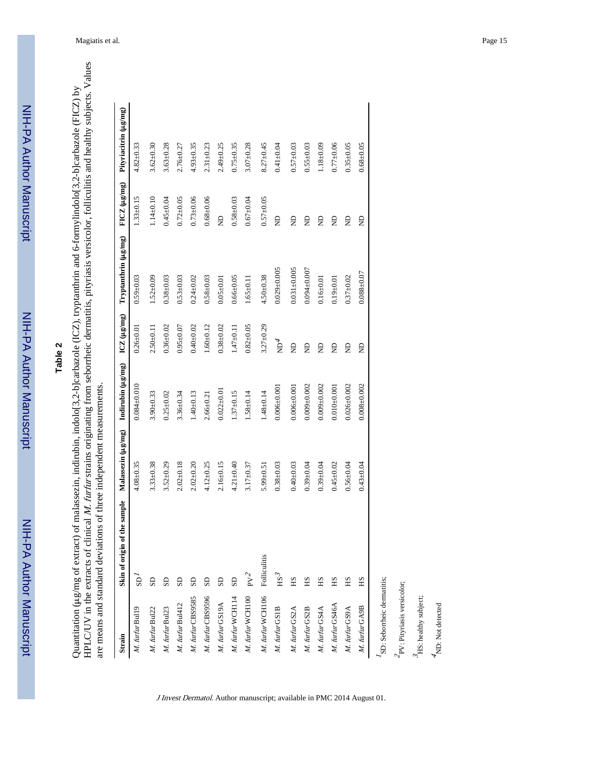NIH-PA Author Manuscript

NIH-PA Author Manuscript

HPLC/UV in the extracts of clinical M. furfur strains originating from seborrheic dermatitis, pityriasis versicolor, folliculitis and healthy subjects. Values HPLC/UV in the extracts of clinical M. furfur strains originating from seborrheic dermatitis, pityriasis versicolor, folliculitis and healthy subjects. Values Quantitation (µg/mg of extract) of malassezin, indirubin, indolo[3,2-b]carbazole (ICZ), tryptanthrin and 6-formylindolo[3,2-b]carbazole (FICZ) by μg/mg of extract) of malassezin, indirubin, indolo[3,2-b]carbazole (ICZ), tryptanthrin and 6-formylindolo[3,2-b]carbazole (FICZ) by are means and standard deviations of three independent measurements. are means and standard deviations of three independent measurements. Quantitation (

| Strain                     | Skin of origin of the sample | Malassezin (µg/mg) | Indirubin (µg/mg) | $ICZ$ ( $\mu$ g/mg) | Tryptanthrin (µg/mg) | $FICZ(\mu g/mg)$ | Pityriacitrin (µg/mg) |
|----------------------------|------------------------------|--------------------|-------------------|---------------------|----------------------|------------------|-----------------------|
| M. furfur Bul19            | $\overline{\mathbf{B}}$      | $4.08 + 0.35$      | $0.084 + 0.010$   | $0.26 + 0.01$       | $0.59 + 0.03$        | $1.33 + 0.15$    | $4.82 \pm 0.33$       |
| M. furfur Bul22            | SD                           | $3.33 + 0.38$      | $3.90 + 0.33$     | $2.50 + 0.11$       | $1.52 + 0.09$        | $1.14 + 0.10$    | $3.62 \pm 0.30$       |
| M. furfur Bul23            | $_{\rm SD}$                  | $3.52 + 0.29$      | $0.25 + 0.02$     | $0.36 + 0.02$       | $0.38 + 0.03$        | $0.45 + 0.04$    | $3.63 + 0.28$         |
| M. furfur Bul412           | GS                           | $2.02 + 0.18$      | $3.36 + 0.34$     | $0.95 + 0.07$       | $0.53 + 0.03$        | $0.72 + 0.05$    | $2.76 + 0.27$         |
| M. furfur CBS9585          | S <sub>D</sub>               | $2.02 + 0.20$      | $1.40 + 0.13$     | $0.40 + 0.02$       | $0.24 + 0.02$        | $0.73 + 0.06$    | $4.93 + 0.35$         |
| M. furfur CBS9596          | S <sub>D</sub>               | $4.12 + 0.25$      | $2.66 \pm 0.21$   | $1.60 + 0.12$       | $0.58 + 0.03$        | $0.68\pm0.06$    | $2.31 \pm 0.23$       |
| M. furfur GS19A            | SD                           | $2.16 \pm 0.15$    | $0.022 \pm 0.01$  | $0.38 + 0.02$       | $0.05 + 0.01$        | g                | $2.49 \pm 0.25$       |
| M. furfur WCH114           | S <sub>D</sub>               | $4.21 + 0.40$      | $1.37 \pm 0.15$   | $1.47 + 0.11$       | $0.66 + 0.05$        | $0.58 + 0.03$    | $0.75 \pm 0.35$       |
| M. furfur WCH100           | ${\rm PV}^2$                 | $3.17 + 0.37$      | $1.58 \pm 0.14$   | $0.82 + 0.05$       | $1.65 + 0.11$        | $0.67 + 0.04$    | $3.07 + 0.28$         |
| M. furfur WCH106           | Folliculitis                 | $5.99 \pm 0.51$    | $1.48 + 0.14$     | $3.27 + 0.29$       | $4.50 + 0.38$        | $0.57 + 0.05$    | $8.27 + 0.45$         |
| M. furfur GS1B             | $_{\rm HS}$ 3                | $0.38 + 0.03$      | $0.006 + 0.001$   | $\rm \Xi^4$         | $0.029 + 0.005$      | g                | $0.41 + 0.04$         |
| M. furfur GS2A             | НS                           | $0.40 + 0.03$      | $0.006 + 0.001$   | g                   | $0.031 + 0.005$      | g                | $0.57 + 0.03$         |
| M. furfur GS2B             | НS                           | $0.39 + 0.04$      | $0.009 + 0.002$   | g                   | $0.094 + 0.007$      | $\beta$          | $0.55 + 0.03$         |
| M. furfur GS4A             | НS                           | $0.39 + 0.04$      | $0.009 + 0.002$   | g                   | $0.16 + 0.01$        | g                | $1.18 + 0.09$         |
| M. furfur GS46A            | НS                           | $0.45 + 0.02$      | $0.010 + 0.001$   | g                   | $0.19 + 0.01$        | g                | $0.77 + 0.06$         |
| M. furfur GS9A             | НS                           | $0.56 + 0.04$      | $0.026 \pm 0.002$ | g                   | $0.37 + 0.02$        | £                | $0.35 \pm 0.05$       |
| M. furfur GA9B             | НS                           | $0.43 + 0.04$      | $0.008 + 0.002$   | g                   | $0.088 + 0.07$       | Ê                | $0.68 + 0.05$         |
| SD: Seborrheic dermatitis; |                              |                    |                   |                     |                      |                  |                       |
| PV: Pityriasis versicolor; |                              |                    |                   |                     |                      |                  |                       |
|                            |                              |                    |                   |                     |                      |                  |                       |

J Invest Dermatol. Author manuscript; available in PMC 2014 August 01.

 $\mathcal{I}_{\rm HS}$  : healthy subject; HS: healthy subject;  $4$ ND: Not detected ND: Not detected